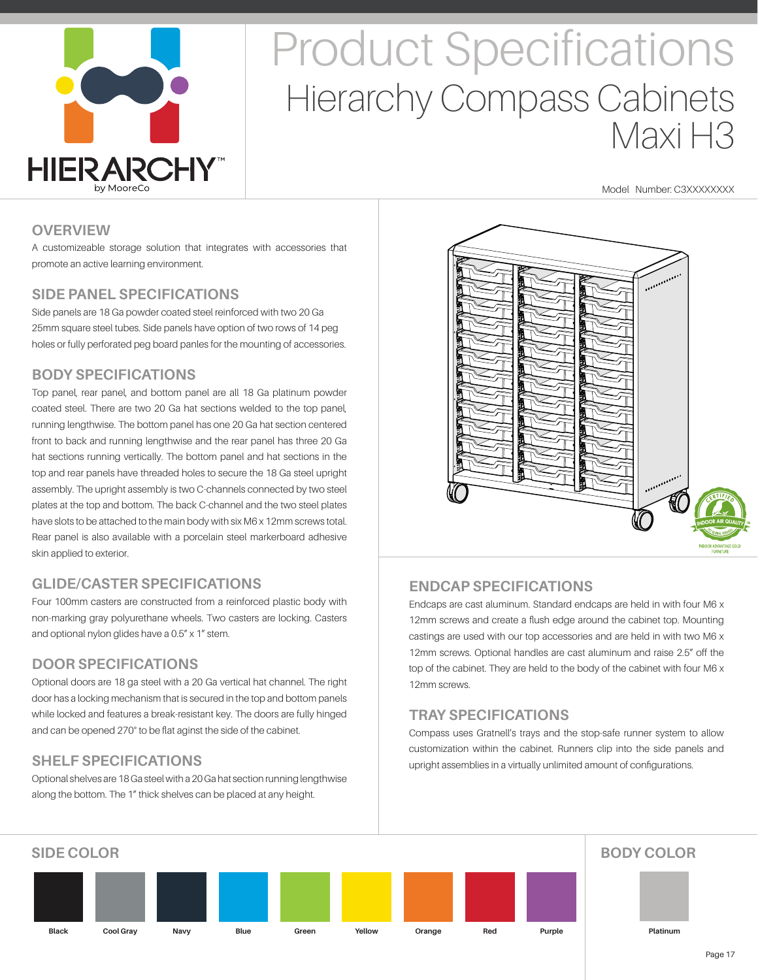

# Product Specifications Hierarchy Compass Cabinets Maxi H3

Model Number: C3XXXXXXXX

#### **OVERVIEW**

A customizeable storage solution that integrates with accessories that promote an active learning environment.

#### **SIDE PANEL SPECIFICATIONS**

Side panels are 18 Ga powder coated steel reinforced with two 20 Ga 25mm square steel tubes. Side panels have option of two rows of 14 peg holes or fully perforated peg board panles for the mounting of accessories.

### **BODY SPECIFICATIONS**

Top panel, rear panel, and bottom panel are all 18 Ga platinum powder coated steel. There are two 20 Ga hat sections welded to the top panel, running lengthwise. The bottom panel has one 20 Ga hat section centered front to back and running lengthwise and the rear panel has three 20 Ga hat sections running vertically. The bottom panel and hat sections in the top and rear panels have threaded holes to secure the 18 Ga steel upright assembly. The upright assembly is two C-channels connected by two steel plates at the top and bottom. The back C-channel and the two steel plates have slots to be attached to the main body with six M6 x 12mm screws total. Rear panel is also available with a porcelain steel markerboard adhesive skin applied to exterior.

### **GLIDE/CASTER SPECIFICATIONS**

Four 100mm casters are constructed from a reinforced plastic body with non-marking gray polyurethane wheels. Two casters are locking. Casters and optional nylon glides have a 0.5" x 1" stem.

### **DOOR SPECIFICATIONS**

Optional doors are 18 ga steel with a 20 Ga vertical hat channel. The right door has a locking mechanism that is secured in the top and bottom panels while locked and features a break-resistant key. The doors are fully hinged and can be opened 270° to be flat aginst the side of the cabinet.

### **SHELF SPECIFICATIONS**

Optional shelves are 18 Ga steel with a 20 Ga hat section running lengthwise along the bottom. The 1" thick shelves can be placed at any height.



### **ENDCAP SPECIFICATIONS**

Endcaps are cast aluminum. Standard endcaps are held in with four M6 x 12mm screws and create a flush edge around the cabinet top. Mounting castings are used with our top accessories and are held in with two M6 x 12mm screws. Optional handles are cast aluminum and raise 2.5" off the top of the cabinet. They are held to the body of the cabinet with four M6 x 12mm screws.

### **TRAY SPECIFICATIONS**

Compass uses Gratnell's trays and the stop-safe runner system to allow customization within the cabinet. Runners clip into the side panels and upright assemblies in a virtually unlimited amount of configurations.

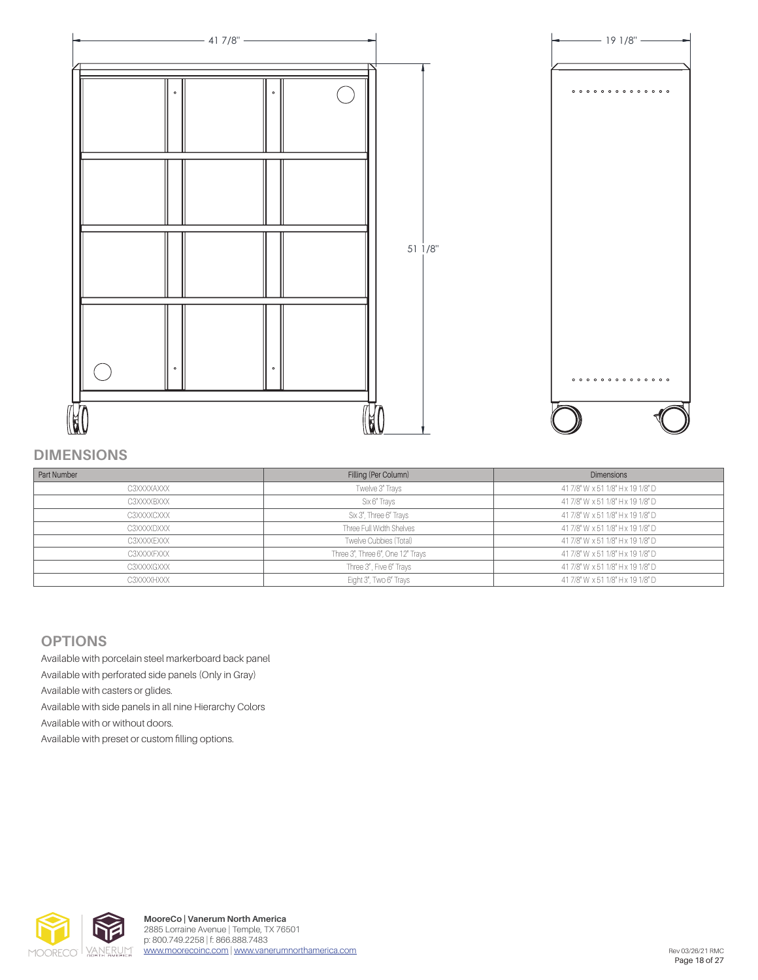

#### **DIMENSIONS**

| Part Number | Filling (Per Column)              | <b>Dimensions</b>                 |
|-------------|-----------------------------------|-----------------------------------|
| C3XXXXAXXX  | Twelve 3" Trays                   | 41 7/8" W x 51 1/8" H x 19 1/8" D |
| C3XXXXBXXX  | Six 6" Trays                      | 41 7/8" W x 51 1/8" H x 19 1/8" D |
| C3XXXXCXXX  | Six 3", Three 6" Trays            | 41 7/8" W x 51 1/8" H x 19 1/8" D |
| C3XXXXDXXX  | Three Full Width Shelves          | 41 7/8" W x 51 1/8" H x 19 1/8" D |
| C3XXXXEXXX  | Twelve Cubbies (Total)            | 41 7/8" W x 51 1/8" H x 19 1/8" D |
| C3XXXXFXXX  | Three 3", Three 6", One 12" Trays | 41 7/8" W x 51 1/8" H x 19 1/8" D |
| C3XXXXGXXX  | Three 3", Five 6" Trays           | 41 7/8" W x 51 1/8" H x 19 1/8" D |
| C3XXXXHXXX  | Eight 3", Two 6" Trays            | 41 7/8" W x 51 1/8" H x 19 1/8" D |

#### **OPTIONS**

Available with porcelain steel markerboard back panel Available with perforated side panels (Only in Gray) Available with casters or glides. Available with side panels in all nine Hierarchy Colors Available with or without doors. Available with preset or custom filling options.

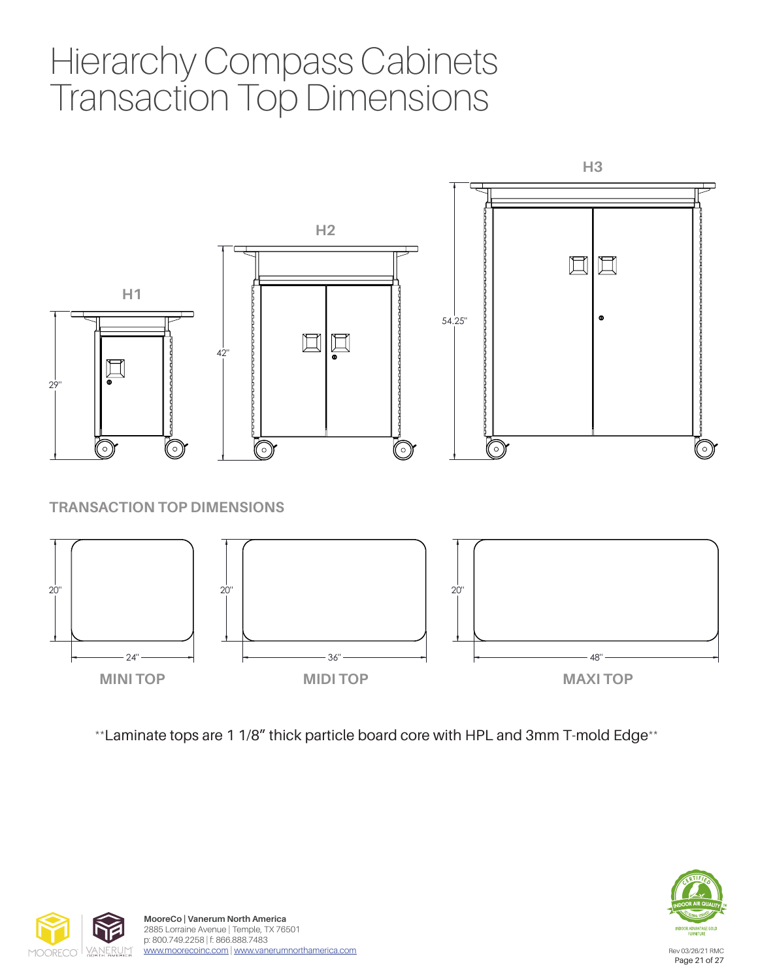## Hierarchy Compass Cabinets Transaction Top Dimensions



\*\*Laminate tops are 1 1/8" thick particle board core with HPL and 3mm T-mold Edge\*\*



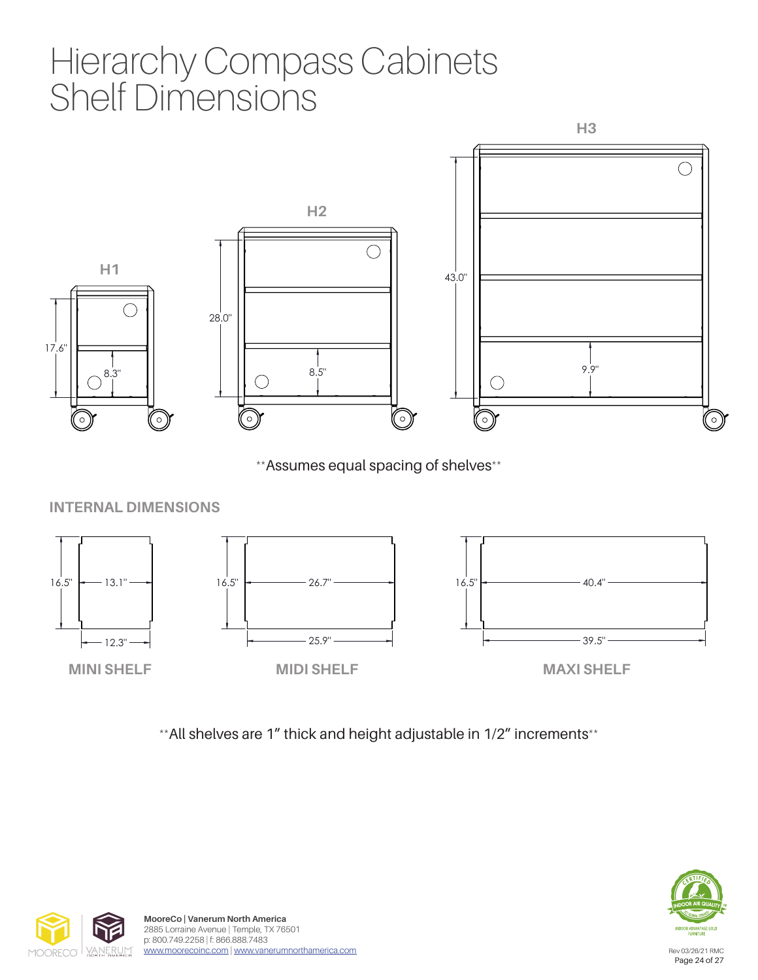## Hierarchy Compass Cabinets Shelf Dimensions



\*\*Assumes equal spacing of shelves\*\*

#### $\overline{a}$ **INTERNAL DIMENSIONS**



\*\*All shelves are 1" thick and height adjustable in 1/2" increments\*\*